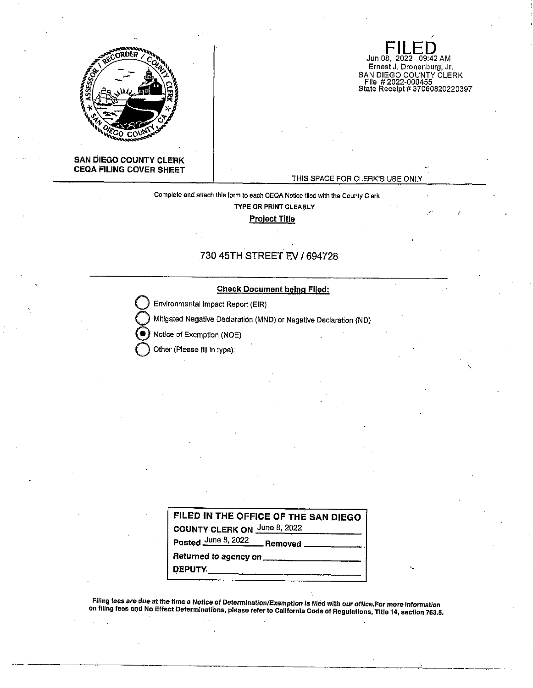

Jun 08, 2022 09:42 AM Ernest J. Dronenburg, Jr. SAN DIEGO COUNTY CLERK File # 2022-000455 State Receipt# 37060820220397

## **SAN DIEGO COUNTY CLERK CEQA FILING COVER SHEET**

## THIS SPACE FOR CLERK'S USE ONLY

**Complete and attach this form to each CEQA Notice flied with the County Clerk TYPE OR PRINT CLEARLY** 

**Project Title** 

# 730 45TH STREET EV/ 694728

### **Check Document being Filed:**

**Environmental Impact Report (EIR)** 

**Q** Mitig.ated Negative Declaration (MND) or Negative Declaration (ND)

Notice of Exemption (NOE)

**Q** Other (Please fill In type):

| FILED IN THE OFFICE OF THE SAN DIEGO |
|--------------------------------------|
| COUNTY CLERK ON June 8, 2022         |
| Posted June 8, 2022 Removed          |
| Returned to agency on                |
| <b>DEPUTY</b>                        |

**Filing fees are due at the time a Notice of Determination/Exemption Is filed with our office.For more information on filing fees ar:id No Effect Determinations, please refer to Callfornla Code of Regulations, Title 14, section 753,5.**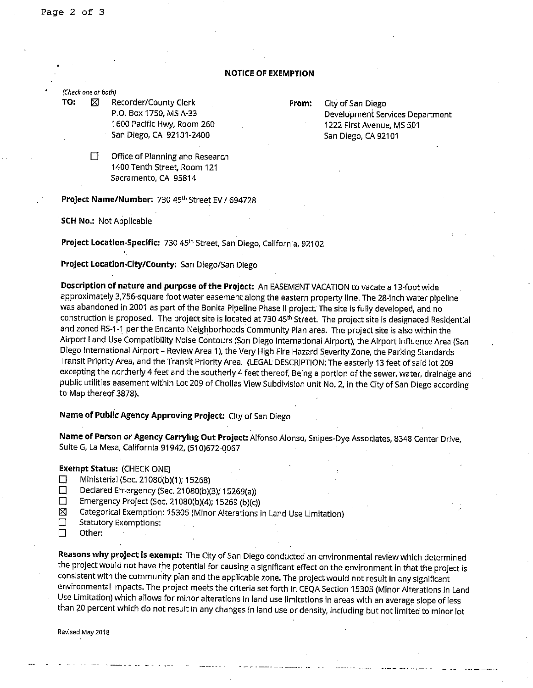## **NOTICE OF EXEMPTION**

(Check one or both)

**TO:**  $\boxtimes$  Recorder/County Clerk **From:** City of San Diego P.O. Box 1750, MS A-33 1600 Pacific Hwy, Room 260 San Diego, CA 92101-2400

Development Services Department 1222 First Avenue, MS 501 San Diego, CA 92101

 $\Box$  Office of Planning and Research 1400 Tenth Street, Room 121 Sacramento, CA 95814

#### **Project Name/Number:** 730 45th Street EV *I* 694728

. **SCH No.:** Not Applicable

**Project Location-Specific:** 730 4S'h Street, San Diego, California, 92102

# **Project Location-City/County:** San Diego/San Diego

Description of nature and purpose of the Project: An EASEMENT VACATION to vacate a 13-foot wide approximately 3,756-square foot water easement along the eastern property line. The 28-inch water pipeline was abandoned in 2001 as part of the Bonita Pipeline Phase II project. The site is fully developed, and no construction is proposed. The project site is located at 730 45<sup>th</sup> Street. The project site is designated Residential and zoned RS-1-1 per the Encanto Neighborhoods Community Plan area. The project site is also within the Airport Land Use Compatibility Noise Contours (San Diego International Airport), the Airport Influence Area (San Diego International Airport - Review Area **1** ), the Very High Fire Hazard Severity Zone, the Parking Standards Transit Priority Area, and the Transit Priority Area. (LEGAL DESCRIPTION: The easterly 13 feet of said lot 209 excepting the northerly 4 feet and the southerly 4 feet thereof, Being a portion of the sewer, water, drainage and public utilities easement within Lot 209 of Cholias View Subdivision unit No. 2, in the City of San Diego according to Map thereof 3878).

**Name of Public Agency Approving Project:** City of San Diego

**Name of Person or Agency Carrying Out Project:** Alfonso Alonso, Snipes-Dye Associates, 8348 Center Drive, Suite G, La Mesa, California 91942, (510)672-Q067

## **Exempt Status:** (CHECK ONE)

- $\Box$  Ministerial (Sec. 21080(b)(1); 15268)
- D Declared Emergency (Sec. 21080(b)(3); 15269(a))
- $\Box$  Emergency Project (Sec. 21080(b)(4); 15269 (b)(c))
- $\boxtimes$  Categorical Exemption: 15305 (Minor Alterations in Land Use Limitation)
- $\Box$  Statutory Exemptions:
- D other:

**Reasons why project is exempt:** The City of San Diego conducted an environmental review which determined the project would not have the potential for causing a significant effect on the environment in that the project is consistent with the community plan and the applicable zone. The project would not result in any significant environmental Impacts. The project meets the criteria set forth In CEQA Section 15305 (Minor Alterations in Land Use Limitation) which allows for minor alterations in land use limitations in areas with an average slope of less than 20 percent which do not result in any changes in land use or density, including but not limited to minor lot

**Revised May 2018**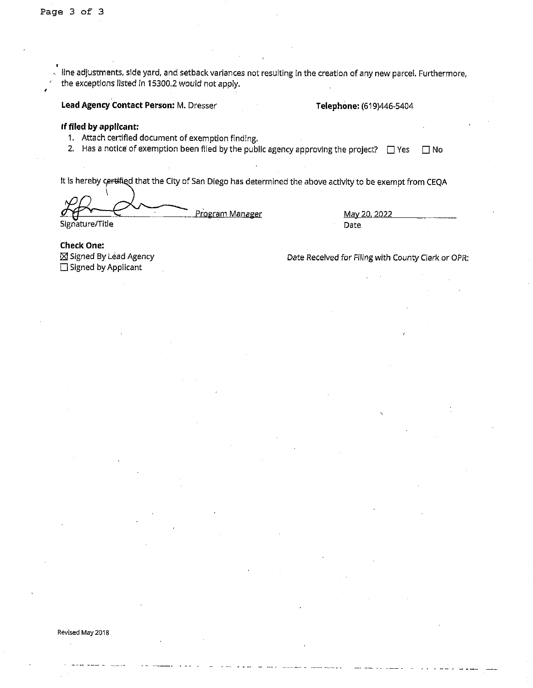line adjustments, side yard, and setback variances not resulting In the creation of any new parcel. Furthermore, the exceptions listed In 15300.2 would not apply.

Lead Agency Contact Person: M. Dresser **Telephone:** (619)446-5404

#### **If filed by applicant:**

1. Attach certified document of exemption finding.

2. Has a notice of exemption been filed by the public agency approving the project?  $\Box$  Yes  $\Box$  No

It is hereby certified that the City of San Diego has determined the above activity to be exempt from CEQA

Program Manager Signature/Title Date

May 20, 2022

**Check One:**   $\boxtimes$  Signed By Lead Agency  $\square$  Signed by Applicant

Date Received for Filing with County Clerk or OPR:

#### **Revised May 2018**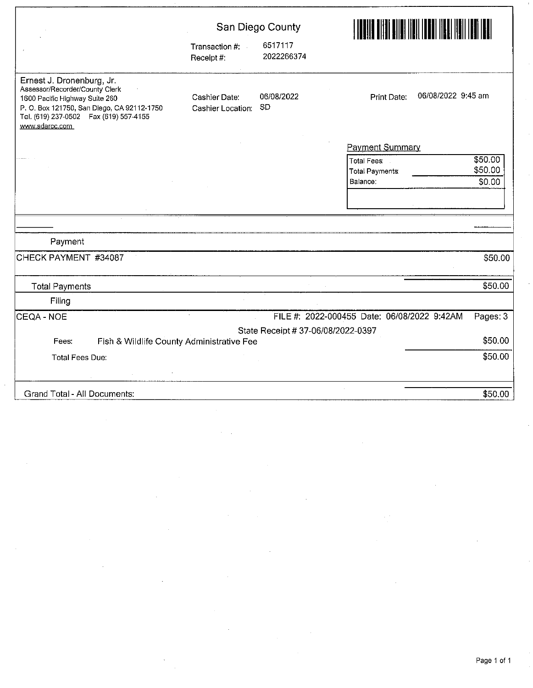|                                                                                                                                                                                                          |                                    | San Diego County                   |                                                                                                                   |
|----------------------------------------------------------------------------------------------------------------------------------------------------------------------------------------------------------|------------------------------------|------------------------------------|-------------------------------------------------------------------------------------------------------------------|
|                                                                                                                                                                                                          | Transaction #:<br>Receipt #:       | 6517117<br>2022266374              |                                                                                                                   |
| Ernest J. Dronenburg, Jr.<br>Assessor/Recorder/County Clerk<br>1600 Pacific Highway Suite 260<br>P. O. Box 121750, San Diego, CA 92112-1750<br>Tel. (619) 237-0502  Fax (619) 557-4155<br>www.sdarcc.com | Cashier Date:<br>Cashier Location: | 06/08/2022<br><b>SD</b>            | 06/08/2022 9:45 am<br>Print Date:                                                                                 |
|                                                                                                                                                                                                          |                                    |                                    | <b>Payment Summary</b><br>\$50.00<br><b>Total Fees:</b><br>\$50.00<br><b>Total Payments</b><br>Balance:<br>\$0.00 |
|                                                                                                                                                                                                          |                                    |                                    |                                                                                                                   |
| Payment                                                                                                                                                                                                  |                                    |                                    |                                                                                                                   |
| CHECK PAYMENT #34087                                                                                                                                                                                     |                                    |                                    | \$50.00                                                                                                           |
| <b>Total Payments</b>                                                                                                                                                                                    |                                    |                                    | \$50.00                                                                                                           |
| Filing                                                                                                                                                                                                   |                                    |                                    |                                                                                                                   |
| <b>CEQA - NOE</b>                                                                                                                                                                                        |                                    |                                    | FILE #: 2022-000455 Date: 06/08/2022 9:42AM<br>Pages: 3                                                           |
|                                                                                                                                                                                                          |                                    | State Receipt # 37-06/08/2022-0397 | \$50.00                                                                                                           |
| Fish & Wildlife County Administrative Fee<br>Fees:                                                                                                                                                       |                                    |                                    |                                                                                                                   |
| <b>Total Fees Due:</b>                                                                                                                                                                                   |                                    |                                    | \$50.00                                                                                                           |
| Grand Total - All Documents:                                                                                                                                                                             |                                    |                                    | \$50.00                                                                                                           |

 $\bar{z}$ 

.